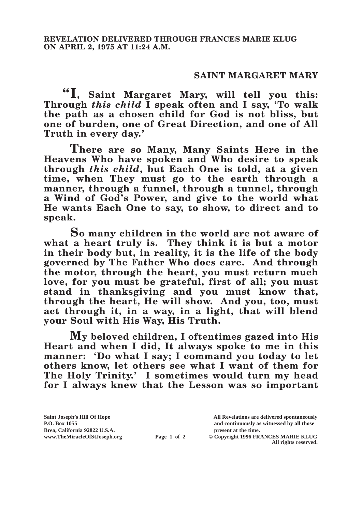## **SAINT MARGARET MARY**

**"I, Saint Margaret Mary, will tell you this: Through** *this child* **I speak often and I say, 'To walk the path as a chosen child for God is not bliss, but one of burden, one of Great Direction, and one of All Truth in every day.'**

**There are so Many, Many Saints Here in the Heavens Who have spoken and Who desire to speak through** *this child***, but Each One is told, at a given time, when They must go to the earth through a manner, through a funnel, through a tunnel, through a Wind of God's Power, and give to the world what He wants Each One to say, to show, to direct and to speak.**

**So many children in the world are not aware of what a heart truly is. They think it is but a motor in their body but, in reality, it is the life of the body governed by The Father Who does care. And through the motor, through the heart, you must return much love, for you must be grateful, first of all; you must stand in thanksgiving and you must know that, through the heart, He will show. And you, too, must act through it, in a way, in a light, that will blend your Soul with His Way, His Truth.**

**My beloved children, I oftentimes gazed into His Heart and when I did, It always spoke to me in this manner: 'Do what I say; I command you today to let others know, let others see what I want of them for The Holy Trinity.' I sometimes would turn my head for I always knew that the Lesson was so important** 

**Brea, California 92822 U.S.A. present at the time.**<br> **present at the time.**<br> **present at the time.**<br> **present at the time.**<br> **present at the time.**<br> **present at the time.** 

**Saint Joseph's Hill Of Hope All Revelations are delivered spontaneously P.O. Box 1055 and continuously as witnessed by all those** 

**Page 1 of 2** © Copyright 1996 FRANCES MARIE KLUG **All rights reserved.**